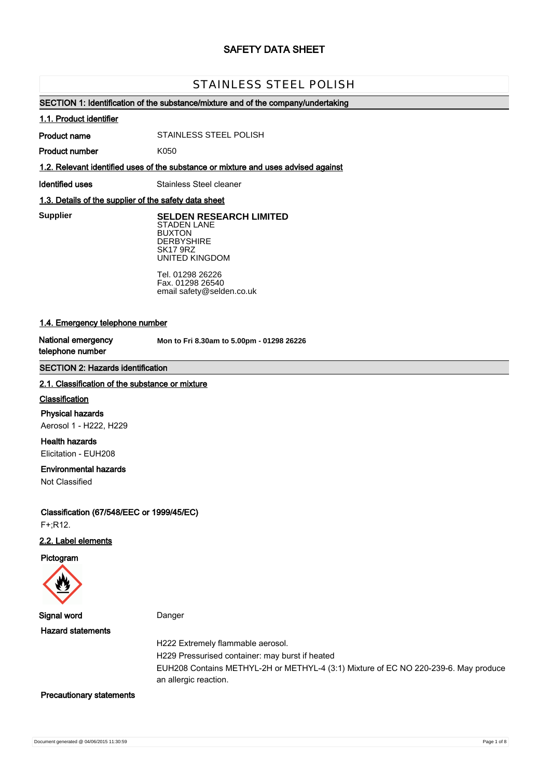# **SAFETY DATA SHEET**

# STAINLESS STEEL POLISH

## **SECTION 1: Identification of the substance/mixture and of the company/undertaking**

### **1.1. Product identifier**

**Product name**

STAINLESS STEEL POLISH

**Product number**

**1.2. Relevant identified uses of the substance or mixture and uses advised against**

K050

**Identified uses** Stainless Steel cleaner

## **1.3. Details of the supplier of the safety data sheet**

**Supplier** 

**SELDEN RESEARCH LIMITED** STADEN LANE BUXTON **DERBYSHIRE** SK17 9RZ UNITED KINGDOM

Tel. 01298 26226 Fax. 01298 26540 email safety@selden.co.uk

# **1.4. Emergency telephone number**

**National emergency telephone number**

**Mon to Fri 8.30am to 5.00pm - 01298 26226**

# **SECTION 2: Hazards identification**

### **2.1. Classification of the substance or mixture**

## **Classification**

**Physical hazards** Aerosol 1 - H222, H229

**Health hazards** Elicitation - EUH208

### **Environmental hazards**

Not Classified

**Classification (67/548/EEC or 1999/45/EC)** F+;R12.

## **2.2. Label elements**

**Pictogram**



**Signal word** Danger

**Hazard statements**

H222 Extremely flammable aerosol.

H229 Pressurised container: may burst if heated

EUH208 Contains METHYL-2H or METHYL-4 (3:1) Mixture of EC NO 220-239-6. May produce an allergic reaction.

#### **Precautionary statements**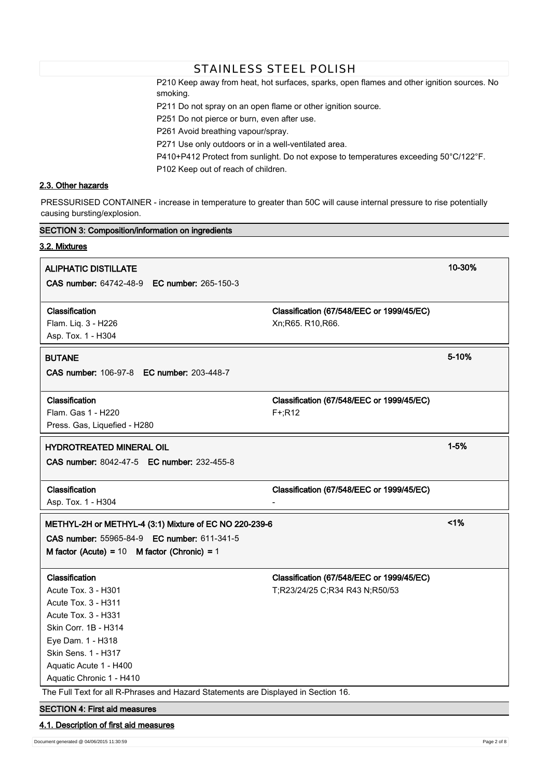P210 Keep away from heat, hot surfaces, sparks, open flames and other ignition sources. No smoking.

P211 Do not spray on an open flame or other ignition source.

STAINLESS STEEL POLISH

P251 Do not pierce or burn, even after use.

P261 Avoid breathing vapour/spray.

P271 Use only outdoors or in a well-ventilated area.

P410+P412 Protect from sunlight. Do not expose to temperatures exceeding 50°C/122°F.

P102 Keep out of reach of children.

# **2.3. Other hazards**

PRESSURISED CONTAINER - increase in temperature to greater than 50C will cause internal pressure to rise potentially causing bursting/explosion.

| <b>SECTION 3: Composition/information on ingredients</b>                           |                                           |          |  |  |  |
|------------------------------------------------------------------------------------|-------------------------------------------|----------|--|--|--|
| 3.2. Mixtures                                                                      |                                           |          |  |  |  |
| <b>ALIPHATIC DISTILLATE</b>                                                        |                                           | 10-30%   |  |  |  |
| CAS number: 64742-48-9 EC number: 265-150-3                                        |                                           |          |  |  |  |
|                                                                                    |                                           |          |  |  |  |
| Classification<br>Flam. Liq. 3 - H226                                              | Classification (67/548/EEC or 1999/45/EC) |          |  |  |  |
| Asp. Tox. 1 - H304                                                                 | Xn;R65. R10,R66.                          |          |  |  |  |
|                                                                                    |                                           |          |  |  |  |
| <b>BUTANE</b>                                                                      |                                           | 5-10%    |  |  |  |
| <b>CAS number: 106-97-8 EC number: 203-448-7</b>                                   |                                           |          |  |  |  |
| Classification                                                                     | Classification (67/548/EEC or 1999/45/EC) |          |  |  |  |
| Flam. Gas 1 - H220                                                                 | $F+;R12$                                  |          |  |  |  |
| Press. Gas, Liquefied - H280                                                       |                                           |          |  |  |  |
| <b>HYDROTREATED MINERAL OIL</b>                                                    |                                           | $1 - 5%$ |  |  |  |
| CAS number: 8042-47-5 EC number: 232-455-8                                         |                                           |          |  |  |  |
|                                                                                    |                                           |          |  |  |  |
| Classification                                                                     | Classification (67/548/EEC or 1999/45/EC) |          |  |  |  |
| Asp. Tox. 1 - H304                                                                 |                                           |          |  |  |  |
| METHYL-2H or METHYL-4 (3:1) Mixture of EC NO 220-239-6                             |                                           | 1%       |  |  |  |
| CAS number: 55965-84-9 EC number: 611-341-5                                        |                                           |          |  |  |  |
| M factor (Acute) = $10$ M factor (Chronic) = $1$                                   |                                           |          |  |  |  |
| Classification                                                                     | Classification (67/548/EEC or 1999/45/EC) |          |  |  |  |
| Acute Tox. 3 - H301                                                                | T;R23/24/25 C;R34 R43 N;R50/53            |          |  |  |  |
| Acute Tox. 3 - H311                                                                |                                           |          |  |  |  |
| Acute Tox. 3 - H331                                                                |                                           |          |  |  |  |
| Skin Corr. 1B - H314                                                               |                                           |          |  |  |  |
| Eye Dam. 1 - H318                                                                  |                                           |          |  |  |  |
| Skin Sens. 1 - H317                                                                |                                           |          |  |  |  |
| Aquatic Acute 1 - H400                                                             |                                           |          |  |  |  |
| Aquatic Chronic 1 - H410                                                           |                                           |          |  |  |  |
| The Full Text for all R-Phrases and Hazard Statements are Displayed in Section 16. |                                           |          |  |  |  |
| <b>SECTION 4: First aid measures</b>                                               |                                           |          |  |  |  |
| 4.1. Description of first aid measures                                             |                                           |          |  |  |  |

Document generated @ 04/06/2015 11:30:59 Page 2 of 8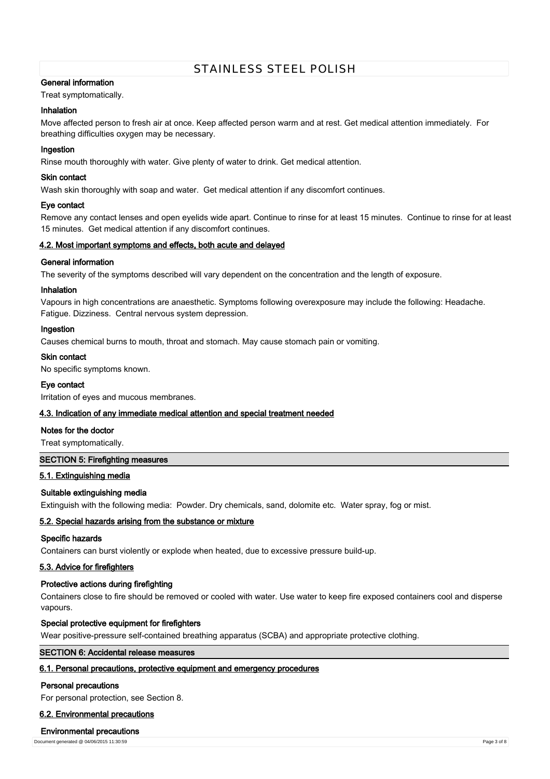# **General information**

Treat symptomatically.

# **Inhalation**

Move affected person to fresh air at once. Keep affected person warm and at rest. Get medical attention immediately. For breathing difficulties oxygen may be necessary.

## **Ingestion**

Rinse mouth thoroughly with water. Give plenty of water to drink. Get medical attention.

## **Skin contact**

Wash skin thoroughly with soap and water. Get medical attention if any discomfort continues.

### **Eye contact**

Remove any contact lenses and open eyelids wide apart. Continue to rinse for at least 15 minutes. Continue to rinse for at least 15 minutes. Get medical attention if any discomfort continues.

## **4.2. Most important symptoms and effects, both acute and delayed**

## **General information**

The severity of the symptoms described will vary dependent on the concentration and the length of exposure.

### **Inhalation**

Vapours in high concentrations are anaesthetic. Symptoms following overexposure may include the following: Headache. Fatigue. Dizziness. Central nervous system depression.

## **Ingestion**

Causes chemical burns to mouth, throat and stomach. May cause stomach pain or vomiting.

### **Skin contact**

No specific symptoms known.

### **Eye contact**

Irritation of eyes and mucous membranes.

## **4.3. Indication of any immediate medical attention and special treatment needed**

## **Notes for the doctor**

Treat symptomatically.

## **SECTION 5: Firefighting measures**

## **5.1. Extinguishing media**

## **Suitable extinguishing media**

Extinguish with the following media: Powder. Dry chemicals, sand, dolomite etc. Water spray, fog or mist.

## **5.2. Special hazards arising from the substance or mixture**

## **Specific hazards**

Containers can burst violently or explode when heated, due to excessive pressure build-up.

## **5.3. Advice for firefighters**

## **Protective actions during firefighting**

Containers close to fire should be removed or cooled with water. Use water to keep fire exposed containers cool and disperse vapours.

## **Special protective equipment for firefighters**

Wear positive-pressure self-contained breathing apparatus (SCBA) and appropriate protective clothing.

# **SECTION 6: Accidental release measures**

# **6.1. Personal precautions, protective equipment and emergency procedures**

### **Personal precautions**

For personal protection, see Section 8.

### **6.2. Environmental precautions**

### **Environmental precautions**

Document generated @ 04/06/2015 11:30:59 Page 3 of 8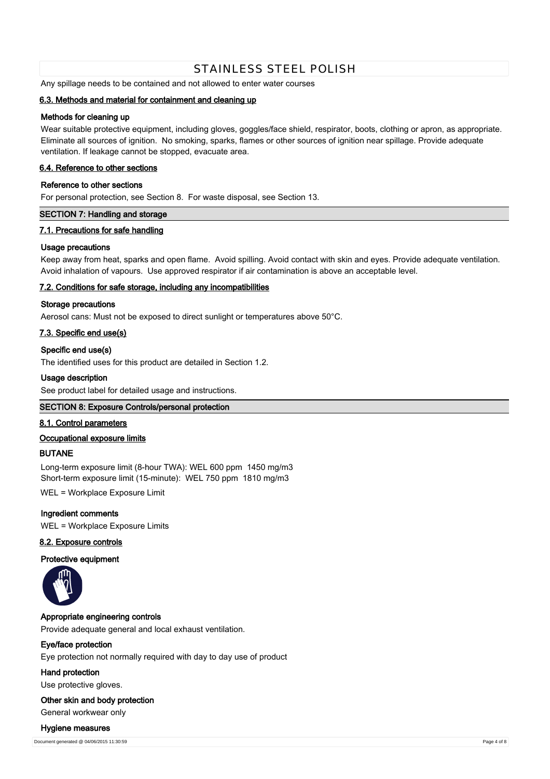Any spillage needs to be contained and not allowed to enter water courses

## **6.3. Methods and material for containment and cleaning up**

## **Methods for cleaning up**

Wear suitable protective equipment, including gloves, goggles/face shield, respirator, boots, clothing or apron, as appropriate. Eliminate all sources of ignition. No smoking, sparks, flames or other sources of ignition near spillage. Provide adequate ventilation. If leakage cannot be stopped, evacuate area.

### **6.4. Reference to other sections**

## **Reference to other sections**

For personal protection, see Section 8. For waste disposal, see Section 13.

## **SECTION 7: Handling and storage**

### **7.1. Precautions for safe handling**

### **Usage precautions**

Keep away from heat, sparks and open flame. Avoid spilling. Avoid contact with skin and eyes. Provide adequate ventilation. Avoid inhalation of vapours. Use approved respirator if air contamination is above an acceptable level.

## **7.2. Conditions for safe storage, including any incompatibilities**

### **Storage precautions**

Aerosol cans: Must not be exposed to direct sunlight or temperatures above 50°C.

## **7.3. Specific end use(s)**

## **Specific end use(s)**

The identified uses for this product are detailed in Section 1.2.

### **Usage description**

See product label for detailed usage and instructions.

### **SECTION 8: Exposure Controls/personal protection**

### **8.1. Control parameters**

### **Occupational exposure limits**

## **BUTANE**

Long-term exposure limit (8-hour TWA): WEL 600 ppm 1450 mg/m3 Short-term exposure limit (15-minute): WEL 750 ppm 1810 mg/m3

WEL = Workplace Exposure Limit

**Ingredient comments**

WEL = Workplace Exposure Limits

## **8.2. Exposure controls**

## **Protective equipment**



### **Appropriate engineering controls**

Provide adequate general and local exhaust ventilation.

## **Eye/face protection**

Eye protection not normally required with day to day use of product

### **Hand protection**

Use protective gloves.

### **Other skin and body protection**

General workwear only

#### **Hygiene measures**

Document generated @ 04/06/2015 11:30:59 Page 4 of 8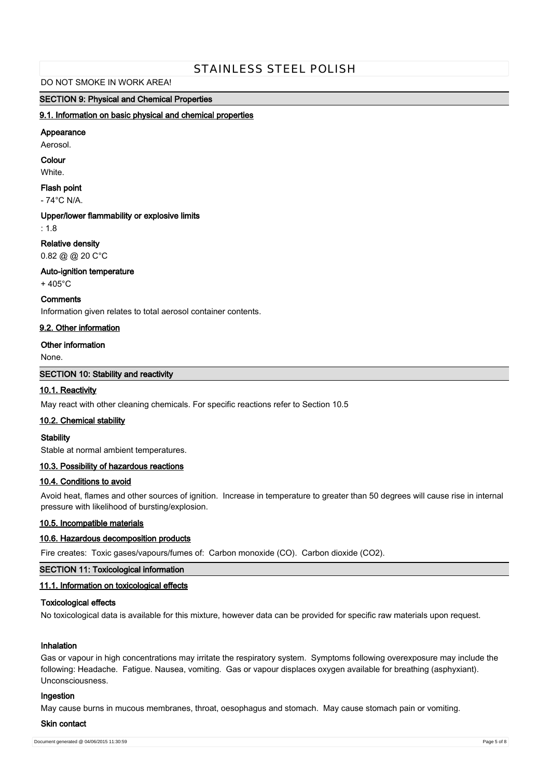### DO NOT SMOKE IN WORK AREA!

## **SECTION 9: Physical and Chemical Properties**

## **9.1. Information on basic physical and chemical properties**

#### **Appearance**

Aerosol.

# **Colour**

**White** 

## **Flash point**

- 74°C N/A.

#### **Upper/lower flammability or explosive limits**

: 1.8

### **Relative density**

0.82 @ @ 20 C°C

#### **Auto-ignition temperature**

+ 405°C

# **Comments**

Information given relates to total aerosol container contents.

## **9.2. Other information**

### **Other information**

None.

# **SECTION 10: Stability and reactivity**

# **10.1. Reactivity**

May react with other cleaning chemicals. For specific reactions refer to Section 10.5

### **10.2. Chemical stability**

### **Stability**

Stable at normal ambient temperatures.

# **10.3. Possibility of hazardous reactions**

# **10.4. Conditions to avoid**

Avoid heat, flames and other sources of ignition. Increase in temperature to greater than 50 degrees will cause rise in internal pressure with likelihood of bursting/explosion.

## **10.5. Incompatible materials**

## **10.6. Hazardous decomposition products**

Fire creates: Toxic gases/vapours/fumes of: Carbon monoxide (CO). Carbon dioxide (CO2).

## **SECTION 11: Toxicological information**

# **11.1. Information on toxicological effects**

## **Toxicological effects**

No toxicological data is available for this mixture, however data can be provided for specific raw materials upon request.

## **Inhalation**

Gas or vapour in high concentrations may irritate the respiratory system. Symptoms following overexposure may include the following: Headache. Fatigue. Nausea, vomiting. Gas or vapour displaces oxygen available for breathing (asphyxiant). Unconsciousness.

## **Ingestion**

May cause burns in mucous membranes, throat, oesophagus and stomach. May cause stomach pain or vomiting.

#### **Skin contact**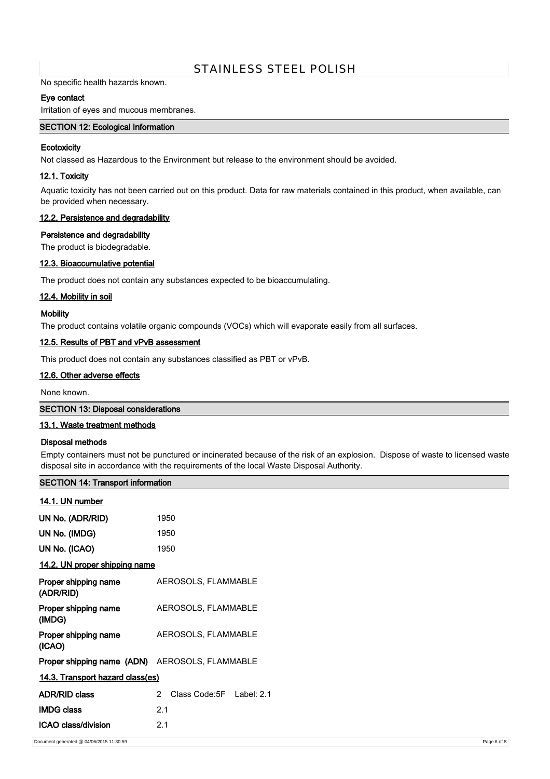No specific health hazards known.

## **Eye contact**

Irritation of eyes and mucous membranes.

# **SECTION 12: Ecological Information**

## **Ecotoxicity**

Not classed as Hazardous to the Environment but release to the environment should be avoided.

# **12.1. Toxicity**

Aquatic toxicity has not been carried out on this product. Data for raw materials contained in this product, when available, can be provided when necessary.

## **12.2. Persistence and degradability**

## **Persistence and degradability**

The product is biodegradable.

# **12.3. Bioaccumulative potential**

The product does not contain any substances expected to be bioaccumulating.

## **12.4. Mobility in soil**

### **Mobility**

The product contains volatile organic compounds (VOCs) which will evaporate easily from all surfaces.

## **12.5. Results of PBT and vPvB assessment**

This product does not contain any substances classified as PBT or vPvB.

# **12.6. Other adverse effects**

None known.

### **SECTION 13: Disposal considerations**

### **13.1. Waste treatment methods**

**SECTION 14: Transport information**

## **Disposal methods**

Empty containers must not be punctured or incinerated because of the risk of an explosion. Dispose of waste to licensed waste disposal site in accordance with the requirements of the local Waste Disposal Authority.

| 14.1. UN number                                |                                    |
|------------------------------------------------|------------------------------------|
| UN No. (ADR/RID)                               | 1950                               |
| UN No. (IMDG)                                  | 1950                               |
| UN No. (ICAO)                                  | 1950                               |
| 14.2. UN proper shipping name                  |                                    |
| Proper shipping name<br>(ADR/RID)              | AEROSOLS, FLAMMABLE                |
| Proper shipping name<br>(IMDG)                 | AEROSOLS, FLAMMABLE                |
| Proper shipping name<br>(ICAO)                 | AEROSOLS, FLAMMABLE                |
| Proper shipping name (ADN) AEROSOLS, FLAMMABLE |                                    |
| 14.3. Transport hazard class(es)               |                                    |
| <b>ADR/RID class</b>                           | Class Code:5F<br>2<br>Label: $2.1$ |
| <b>IMDG class</b>                              | 2.1                                |
| ICAO class/division                            | 2.1                                |
| Document generated @ 04/06/2015 11:30:59       |                                    |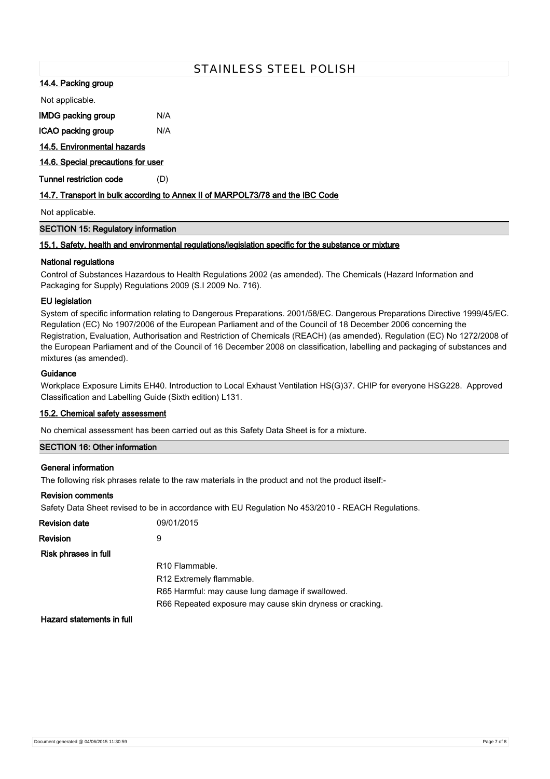## **14.4. Packing group**

Not applicable.

| IMDG packing group | N/A |
|--------------------|-----|
|--------------------|-----|

**ICAO packing group** N/A

## **14.5. Environmental hazards**

**14.6. Special precautions for user**

**Tunnel restriction code** (D)

# **14.7. Transport in bulk according to Annex II of MARPOL73/78 and the IBC Code**

Not applicable.

# **SECTION 15: Regulatory information**

## **15.1. Safety, health and environmental regulations/legislation specific for the substance or mixture**

## **National regulations**

Control of Substances Hazardous to Health Regulations 2002 (as amended). The Chemicals (Hazard Information and Packaging for Supply) Regulations 2009 (S.I 2009 No. 716).

# **EU legislation**

System of specific information relating to Dangerous Preparations. 2001/58/EC. Dangerous Preparations Directive 1999/45/EC. Regulation (EC) No 1907/2006 of the European Parliament and of the Council of 18 December 2006 concerning the Registration, Evaluation, Authorisation and Restriction of Chemicals (REACH) (as amended). Regulation (EC) No 1272/2008 of the European Parliament and of the Council of 16 December 2008 on classification, labelling and packaging of substances and mixtures (as amended).

## **Guidance**

Workplace Exposure Limits EH40. Introduction to Local Exhaust Ventilation HS(G)37. CHIP for everyone HSG228. Approved Classification and Labelling Guide (Sixth edition) L131.

## **15.2. Chemical safety assessment**

No chemical assessment has been carried out as this Safety Data Sheet is for a mixture.

# **SECTION 16: Other information**

### **General information**

The following risk phrases relate to the raw materials in the product and not the product itself:-

### **Revision comments**

Safety Data Sheet revised to be in accordance with EU Regulation No 453/2010 - REACH Regulations.

| <b>Revision date</b> | 09/01/2015                                                |
|----------------------|-----------------------------------------------------------|
| Revision             | 9                                                         |
| Risk phrases in full |                                                           |
|                      | R <sub>10</sub> Flammable.                                |
|                      | R12 Extremely flammable.                                  |
|                      | R65 Harmful: may cause lung damage if swallowed.          |
|                      | R66 Repeated exposure may cause skin dryness or cracking. |
|                      |                                                           |

**Hazard statements in full**